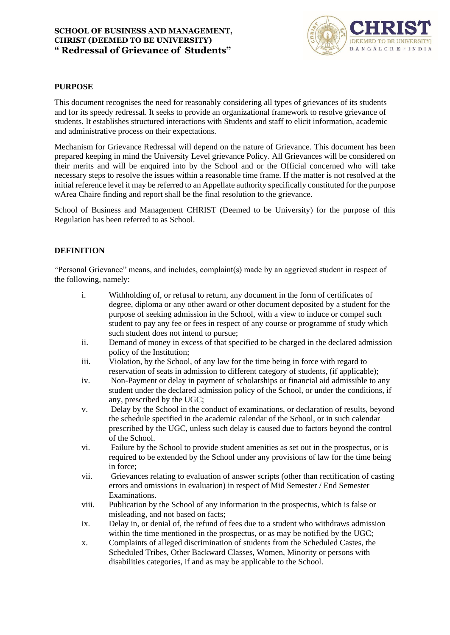

#### **PURPOSE**

This document recognises the need for reasonably considering all types of grievances of its students and for its speedy redressal. It seeks to provide an organizational framework to resolve grievance of students. It establishes structured interactions with Students and staff to elicit information, academic and administrative process on their expectations.

Mechanism for Grievance Redressal will depend on the nature of Grievance. This document has been prepared keeping in mind the University Level grievance Policy. All Grievances will be considered on their merits and will be enquired into by the School and or the Official concerned who will take necessary steps to resolve the issues within a reasonable time frame. If the matter is not resolved at the initial reference level it may be referred to an Appellate authority specifically constituted for the purpose wArea Chaire finding and report shall be the final resolution to the grievance.

School of Business and Management CHRIST (Deemed to be University) for the purpose of this Regulation has been referred to as School.

#### **DEFINITION**

"Personal Grievance" means, and includes, complaint(s) made by an aggrieved student in respect of the following, namely:

- i. Withholding of, or refusal to return, any document in the form of certificates of degree, diploma or any other award or other document deposited by a student for the purpose of seeking admission in the School, with a view to induce or compel such student to pay any fee or fees in respect of any course or programme of study which such student does not intend to pursue;
- ii. Demand of money in excess of that specified to be charged in the declared admission policy of the Institution;
- iii. Violation, by the School, of any law for the time being in force with regard to reservation of seats in admission to different category of students, (if applicable);
- iv. Non-Payment or delay in payment of scholarships or financial aid admissible to any student under the declared admission policy of the School, or under the conditions, if any, prescribed by the UGC;
- v. Delay by the School in the conduct of examinations, or declaration of results, beyond the schedule specified in the academic calendar of the School, or in such calendar prescribed by the UGC, unless such delay is caused due to factors beyond the control of the School.
- vi. Failure by the School to provide student amenities as set out in the prospectus, or is required to be extended by the School under any provisions of law for the time being in force;
- vii. Grievances relating to evaluation of answer scripts (other than rectification of casting errors and omissions in evaluation) in respect of Mid Semester / End Semester Examinations.
- viii. Publication by the School of any information in the prospectus, which is false or misleading, and not based on facts;
- ix. Delay in, or denial of, the refund of fees due to a student who withdraws admission within the time mentioned in the prospectus, or as may be notified by the UGC;
- x. Complaints of alleged discrimination of students from the Scheduled Castes, the Scheduled Tribes, Other Backward Classes, Women, Minority or persons with disabilities categories, if and as may be applicable to the School.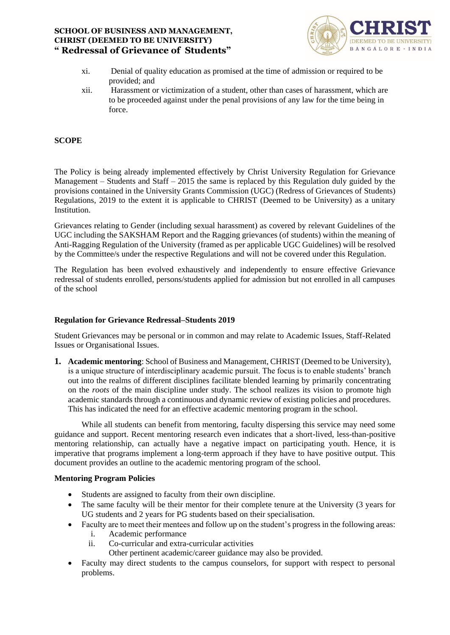

- xi. Denial of quality education as promised at the time of admission or required to be provided; and
- xii. Harassment or victimization of a student, other than cases of harassment, which are to be proceeded against under the penal provisions of any law for the time being in force.

### **SCOPE**

The Policy is being already implemented effectively by Christ University Regulation for Grievance Management – Students and Staff – 2015 the same is replaced by this Regulation duly guided by the provisions contained in the University Grants Commission (UGC) (Redress of Grievances of Students) Regulations, 2019 to the extent it is applicable to CHRIST (Deemed to be University) as a unitary Institution.

Grievances relating to Gender (including sexual harassment) as covered by relevant Guidelines of the UGC including the SAKSHAM Report and the Ragging grievances (of students) within the meaning of Anti-Ragging Regulation of the University (framed as per applicable UGC Guidelines) will be resolved by the Committee/s under the respective Regulations and will not be covered under this Regulation.

The Regulation has been evolved exhaustively and independently to ensure effective Grievance redressal of students enrolled, persons/students applied for admission but not enrolled in all campuses of the school

#### **Regulation for Grievance Redressal–Students 2019**

Student Grievances may be personal or in common and may relate to Academic Issues, Staff-Related Issues or Organisational Issues.

**1. Academic mentoring**: School of Business and Management, CHRIST (Deemed to be University), is a unique structure of interdisciplinary academic pursuit. The focus is to enable students' branch out into the realms of different disciplines facilitate blended learning by primarily concentrating on the *roots* of the main discipline under study. The school realizes its vision to promote high academic standards through a continuous and dynamic review of existing policies and procedures. This has indicated the need for an effective academic mentoring program in the school.

While all students can benefit from mentoring, faculty dispersing this service may need some guidance and support. Recent mentoring research even indicates that a short-lived, less-than-positive mentoring relationship, can actually have a negative impact on participating youth. Hence, it is imperative that programs implement a long-term approach if they have to have positive output. This document provides an outline to the academic mentoring program of the school.

#### **Mentoring Program Policies**

- Students are assigned to faculty from their own discipline.
- The same faculty will be their mentor for their complete tenure at the University (3 years for UG students and 2 years for PG students based on their specialisation.
- Faculty are to meet their mentees and follow up on the student's progress in the following areas:
	- i. Academic performance
	- ii. Co-curricular and extra-curricular activities
		- Other pertinent academic/career guidance may also be provided.
- Faculty may direct students to the campus counselors, for support with respect to personal problems.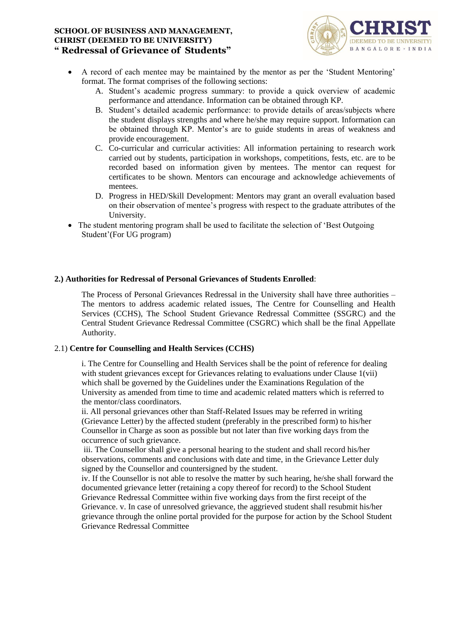

- A record of each mentee may be maintained by the mentor as per the 'Student Mentoring' format. The format comprises of the following sections:
	- A. Student's academic progress summary: to provide a quick overview of academic performance and attendance. Information can be obtained through KP.
	- B. Student's detailed academic performance: to provide details of areas/subjects where the student displays strengths and where he/she may require support. Information can be obtained through KP. Mentor's are to guide students in areas of weakness and provide encouragement.
	- C. Co-curricular and curricular activities: All information pertaining to research work carried out by students, participation in workshops, competitions, fests, etc. are to be recorded based on information given by mentees. The mentor can request for certificates to be shown. Mentors can encourage and acknowledge achievements of mentees.
	- D. Progress in HED/Skill Development: Mentors may grant an overall evaluation based on their observation of mentee's progress with respect to the graduate attributes of the University.
- The student mentoring program shall be used to facilitate the selection of 'Best Outgoing' Student'(For UG program)

### **2.) Authorities for Redressal of Personal Grievances of Students Enrolled**:

The Process of Personal Grievances Redressal in the University shall have three authorities – The mentors to address academic related issues, The Centre for Counselling and Health Services (CCHS), The School Student Grievance Redressal Committee (SSGRC) and the Central Student Grievance Redressal Committee (CSGRC) which shall be the final Appellate Authority.

#### 2.1) **Centre for Counselling and Health Services (CCHS)**

i. The Centre for Counselling and Health Services shall be the point of reference for dealing with student grievances except for Grievances relating to evaluations under Clause 1(vii) which shall be governed by the Guidelines under the Examinations Regulation of the University as amended from time to time and academic related matters which is referred to the mentor/class coordinators.

ii. All personal grievances other than Staff-Related Issues may be referred in writing (Grievance Letter) by the affected student (preferably in the prescribed form) to his/her Counsellor in Charge as soon as possible but not later than five working days from the occurrence of such grievance.

iii. The Counsellor shall give a personal hearing to the student and shall record his/her observations, comments and conclusions with date and time, in the Grievance Letter duly signed by the Counsellor and countersigned by the student.

iv. If the Counsellor is not able to resolve the matter by such hearing, he/she shall forward the documented grievance letter (retaining a copy thereof for record) to the School Student Grievance Redressal Committee within five working days from the first receipt of the Grievance. v. In case of unresolved grievance, the aggrieved student shall resubmit his/her grievance through the online portal provided for the purpose for action by the School Student Grievance Redressal Committee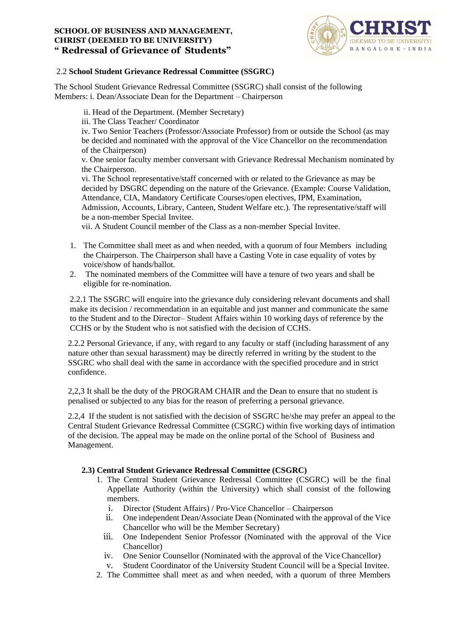

### 2.2 **School Student Grievance Redressal Committee (SSGRC)**

The School Student Grievance Redressal Committee (SSGRC) shall consist of the following Members: i. Dean/Associate Dean for the Department – Chairperson

- ii. Head of the Department. (Member Secretary)
- iii. The Class Teacher/ Coordinator

iv. Two Senior Teachers (Professor/Associate Professor) from or outside the School (as may be decided and nominated with the approval of the Vice Chancellor on the recommendation of the Chairperson)

v. One senior faculty member conversant with Grievance Redressal Mechanism nominated by the Chairperson.

vi. The School representative/staff concerned with or related to the Grievance as may be decided by DSGRC depending on the nature of the Grievance. (Example: Course Validation, Attendance, CIA, Mandatory Certificate Courses/open electives, IPM, Examination, Admission, Accounts, Library, Canteen, Student Welfare etc.). The representative/staff will be a non-member Special Invitee.

vii. A Student Council member of the Class as a non-member Special Invitee.

- 1. The Committee shall meet as and when needed, with a quorum of four Members including the Chairperson. The Chairperson shall have a Casting Vote in case equality of votes by voice/show of hands/ballot.
- 2. The nominated members of the Committee will have a tenure of two years and shall be eligible for re-nomination.

2.2.1 The SSGRC will enquire into the grievance duly considering relevant documents and shall make its decision / recommendation in an equitable and just manner and communicate the same to the Student and to the Director– Student Affairs within 10 working days of reference by the CCHS or by the Student who is not satisfied with the decision of CCHS.

2.2.2 Personal Grievance, if any, with regard to any faculty or staff (including harassment of any nature other than sexual harassment) may be directly referred in writing by the student to the SSGRC who shall deal with the same in accordance with the specified procedure and in strict confidence.

2,2,3 It shall be the duty of the PROGRAM CHAIR and the Dean to ensure that no student is penalised or subjected to any bias for the reason of preferring a personal grievance.

2.2,4 If the student is not satisfied with the decision of SSGRC he/she may prefer an appeal to the Central Student Grievance Redressal Committee (CSGRC) within five working days of intimation of the decision. The appeal may be made on the online portal of the School of Business and Management.

# **2.3) Central Student Grievance Redressal Committee (CSGRC)**

- 1. The Central Student Grievance Redressal Committee (CSGRC) will be the final Appellate Authority (within the University) which shall consist of the following members.
	- i. Director (Student Affairs) / Pro-Vice Chancellor Chairperson
	- ii. One independent Dean/Associate Dean (Nominated with the approval of the Vice Chancellor who will be the Member Secretary)
	- iii. One Independent Senior Professor (Nominated with the approval of the Vice Chancellor)
	- iv. One Senior Counsellor (Nominated with the approval of the ViceChancellor)
	- v. Student Coordinator of the University Student Council will be a Special Invitee.
- 2. The Committee shall meet as and when needed, with a quorum of three Members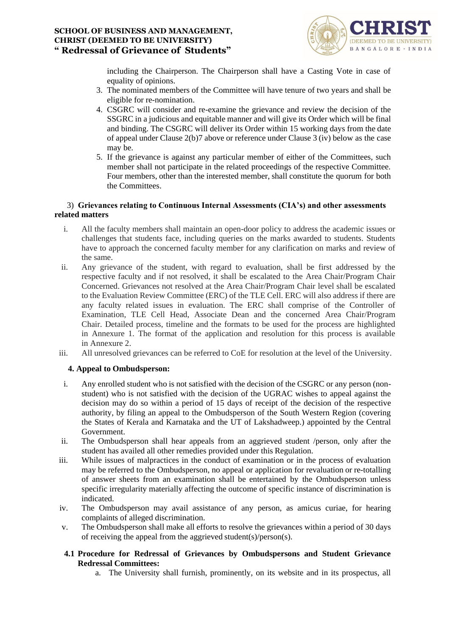

including the Chairperson. The Chairperson shall have a Casting Vote in case of equality of opinions.

- 3. The nominated members of the Committee will have tenure of two years and shall be eligible for re-nomination.
- 4. CSGRC will consider and re-examine the grievance and review the decision of the SSGRC in a judicious and equitable manner and will give its Order which will be final and binding. The CSGRC will deliver its Order within 15 working days from the date of appeal under Clause 2(b)7 above or reference under Clause 3 (iv) below as the case may be.
- 5. If the grievance is against any particular member of either of the Committees, such member shall not participate in the related proceedings of the respective Committee. Four members, other than the interested member, shall constitute the quorum for both the Committees.

### 3) **Grievances relating to Continuous Internal Assessments (CIA's) and other assessments related matters**

- i. All the faculty members shall maintain an open-door policy to address the academic issues or challenges that students face, including queries on the marks awarded to students. Students have to approach the concerned faculty member for any clarification on marks and review of the same.
- ii. Any grievance of the student, with regard to evaluation, shall be first addressed by the respective faculty and if not resolved, it shall be escalated to the Area Chair/Program Chair Concerned. Grievances not resolved at the Area Chair/Program Chair level shall be escalated to the Evaluation Review Committee (ERC) of the TLE Cell. ERC will also address if there are any faculty related issues in evaluation. The ERC shall comprise of the Controller of Examination, TLE Cell Head, Associate Dean and the concerned Area Chair/Program Chair. Detailed process, timeline and the formats to be used for the process are highlighted in Annexure 1. The format of the application and resolution for this process is available in Annexure 2.
- iii. All unresolved grievances can be referred to CoE for resolution at the level of the University.

# **4. Appeal to Ombudsperson:**

- i. Any enrolled student who is not satisfied with the decision of the CSGRC or any person (nonstudent) who is not satisfied with the decision of the UGRAC wishes to appeal against the decision may do so within a period of 15 days of receipt of the decision of the respective authority, by filing an appeal to the Ombudsperson of the South Western Region (covering the States of Kerala and Karnataka and the UT of Lakshadweep.) appointed by the Central Government.
- ii. The Ombudsperson shall hear appeals from an aggrieved student /person, only after the student has availed all other remedies provided under this Regulation.
- iii. While issues of malpractices in the conduct of examination or in the process of evaluation may be referred to the Ombudsperson, no appeal or application for revaluation or re-totalling of answer sheets from an examination shall be entertained by the Ombudsperson unless specific irregularity materially affecting the outcome of specific instance of discrimination is indicated.
- iv. The Ombudsperson may avail assistance of any person, as amicus curiae, for hearing complaints of alleged discrimination.
- v. The Ombudsperson shall make all efforts to resolve the grievances within a period of 30 days of receiving the appeal from the aggrieved student(s)/person(s).
- **4.1 Procedure for Redressal of Grievances by Ombudspersons and Student Grievance Redressal Committees:**
	- a. The University shall furnish, prominently, on its website and in its prospectus, all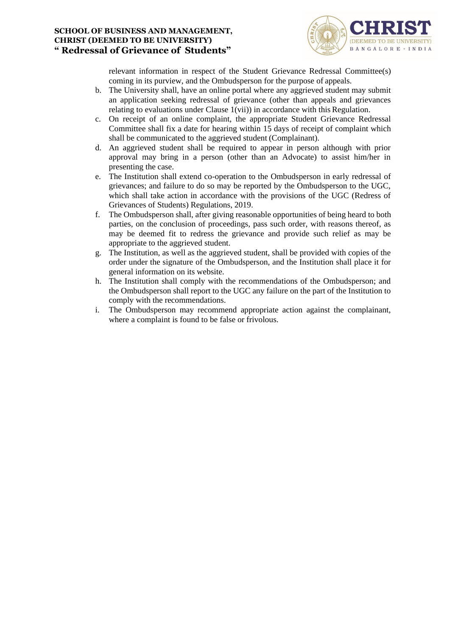

relevant information in respect of the Student Grievance Redressal Committee(s) coming in its purview, and the Ombudsperson for the purpose of appeals.

- b. The University shall, have an online portal where any aggrieved student may submit an application seeking redressal of grievance (other than appeals and grievances relating to evaluations under Clause 1(vii)) in accordance with this Regulation.
- c. On receipt of an online complaint, the appropriate Student Grievance Redressal Committee shall fix a date for hearing within 15 days of receipt of complaint which shall be communicated to the aggrieved student (Complainant).
- d. An aggrieved student shall be required to appear in person although with prior approval may bring in a person (other than an Advocate) to assist him/her in presenting the case.
- e. The Institution shall extend co-operation to the Ombudsperson in early redressal of grievances; and failure to do so may be reported by the Ombudsperson to the UGC, which shall take action in accordance with the provisions of the UGC (Redress of Grievances of Students) Regulations, 2019.
- f. The Ombudsperson shall, after giving reasonable opportunities of being heard to both parties, on the conclusion of proceedings, pass such order, with reasons thereof, as may be deemed fit to redress the grievance and provide such relief as may be appropriate to the aggrieved student.
- g. The Institution, as well as the aggrieved student, shall be provided with copies of the order under the signature of the Ombudsperson, and the Institution shall place it for general information on its website.
- h. The Institution shall comply with the recommendations of the Ombudsperson; and the Ombudsperson shall report to the UGC any failure on the part of the Institution to comply with the recommendations.
- i. The Ombudsperson may recommend appropriate action against the complainant, where a complaint is found to be false or frivolous.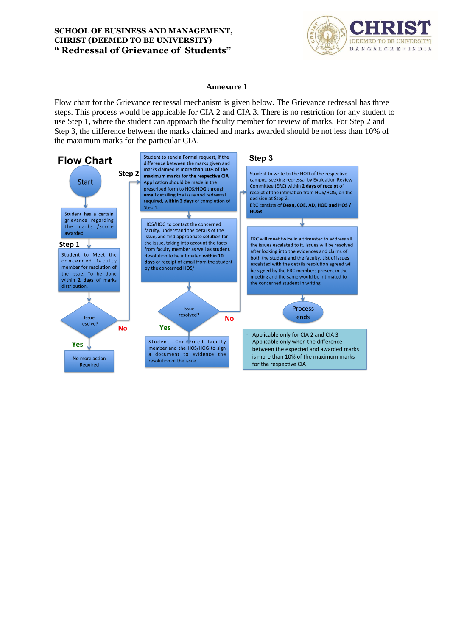

#### **Annexure 1**

Flow chart for the Grievance redressal mechanism is given below. The Grievance redressal has three steps. This process would be applicable for CIA 2 and CIA 3. There is no restriction for any student to use Step 1, where the student can approach the faculty member for review of marks. For Step 2 and Step 3, the difference between the marks claimed and marks awarded should be not less than 10% of the maximum marks for the particular CIA.